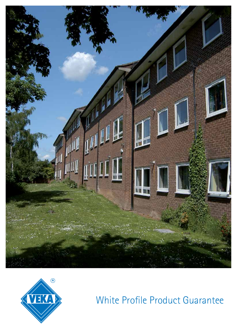



White Profile Product Guarantee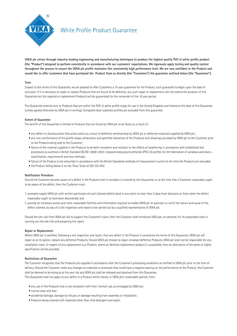

# White Profile Product Guarantee

**VEKA plc strives through industry-leading engineering and manufacturing techniques to produce the highest quality PVC-U white profile product (the "Product") designed to perform consistently in accordance with our customers' expectations. We rigorously apply testing and quality control throughout the process to ensure the VEKA plc profile maintains this consistently high performance level. We are very confident in the Product and would like to offer customers that have purchased the Product from us directly (the "Customers") the guarantee outlined below (the "Guarantee").**

# **Term**

Subject to the terms of this Guarantee, we are pleased to offer Customers a 10 year quarantee for the Product, such quarantee to begin upon the date of extrusion. If it is necessary to repair or replace Products that are found to be defective, any such repair or replacement will not extend the duration of this Guarantee but the repaired or replacement Products will be guaranteed for the remainder of the 10 year period.

This Guarantee extends only to Products that are within the PVC-U white profile range for use in the United Kingdom and Ireland at the date of this Guarantee (unless agreed otherwise by VEKA plc in writing). Composite door substrate profiles are excluded from this guarantee.

# **Extent of Guarantee**

The benefit of this Guarantee is limited to Products that are found by VEKA plc to be faulty as a result of:

- any defect or discolouration that arises solely as a result of defective workmanship by VEKA plc or defective materials supplied by VEKA plc;
- any non-conformance of the profile shape, dimensions and specified tolerances of the Products with drawings provided by VEKA plc to the Customer prior to the Products being sold to the Customer;
- failure of the material supplied in the Products to be both consistent and resistant to the effects of weathering in accordance with established test procedures as outlined in British Standard BS EN 12608: 2003: Unplasticised polyvinylchloride (PVC-U) profiles for the fabrication of windows and doors – classification, requirements and test methods;
- failure of the Product to be colourfast in accordance with the British Standards methods of measurement current at the time the Products are extruded;
- the Product falling below 3 on the 'Grey' Scale of ISO 105-A02.

## **Notification Procedure**

Should the Customer become aware of a defect in the Products that it considers is covered by this Guarantee, or at the time that a Customer reasonably ought to be aware of the defect, then the Customer must:

- 1. promptly supply VEKA plc with written particulars of such claimed defects (and in any event no later than 3 days from discovery or from when the defect reasonably ought to have been discovered); and
- 2. provide all necessary access and other reasonable facilities and information required to enable VEKA plc to ascertain or verify the nature and cause of the defect claimed, by way of a site inspection and report to be carried out by a qualified representative of VEKA plc.

Should the site visit from VEKA plc fail to support the Customer's claim, then the Customer shall reimburse VEKA plc, on demand, for its reasonable costs in carrying out the site visit and preparing the report.

## **Repair or Replacement**

Where VEKA plc is satisfied, following a site inspection and report, that any defect in the Product is covered by the terms of this Guarantee, VEKA plc will repair or, at its option, replace any defective Products. Should VEKA plc choose to repair orreplace defective Products, VEKA plc shall not be responsible for any installation costs. In respect of any replacement to a Product, where an identical replacement product is unavailable, then an alternative of the same or higher specification will be provided.

## **Restrictions of Guarantee**

The Customer recognises that the Products are supplied in accordance with the Customer's processing conditions as notified to VEKA plc prior to the time of delivery. Should the Customer make any changes to materials or processes that could have a negative bearing on the performance of the Product, the Customer shall be deemed to be doing so at his own risk and VEKA plc shall be released and absolved from this Guarantee. This Guarantee shall not apply to any defect in a Product which results, in VEKA plc's reasonable opinion, from:

- any use of the Products that is not consistent with their 'normal' use, as envisaged by VEKA plc;
- normal wear and tear;
- accidental damage, damage by misuse, or damage resulting from assembly or installation;
- Products being cleaned with materials other than mild detergent and water.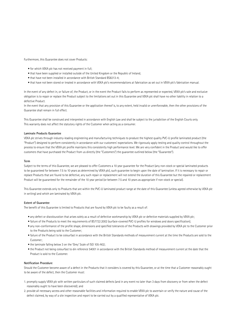Furthermore, this Guarantee does not cover Products:

- for which VEKA plc has not received payment in full;
- that have been supplied or installed outside of the United Kingdom or the Republic of Ireland;
- that have not been installed in accordance with British Standard BS8213-4;
- that have not been stored or treated in accordance with VEKA plc's recommendations at fabrication as set out in VEKA plc's fabrication manual.

In the event of any defect in, or failure of, the Product, or in the event the Product fails to perform as represented or expected, VEKA plc's sole and exclusive obligation is to repair or replace the Product subject to the limitations set out in this Guarantee and VEKA plc shall have no other liability in relation to a defective Product.

In the event that any provision of this Guarantee or the application thereof is, to any extent, held invalid or unenforceable, then the other provisions of the Guarantee shall remain in full effect.

This Guarantee shall be construed and interpreted in accordance with English Law and shall be subject to the jurisdiction of the English Courts only. This warranty does not affect the statutory rights of the Customer when acting as a consumer.

#### **Laminate Products Guarantee**

VEKA plc strives through industry-leading engineering and manufacturing techniques to produce the highest quality PVC-U profile laminated product (the "Product") designed to perform consistently in accordance with our customers' expectations. We rigorously apply testing and quality control throughout the process to ensure that the VEKA plc profile maintains this consistently high performance level. We are very confident in the Product and would like to offer customers that have purchased the Product from us directly (the "Customers") the guarantee outlined below (the "Guarantee").

#### **Term**

Subject to the terms of this Guarantee, we are pleased to offer Customers a 10 year guarantee for the Product (any non-stock or special laminated products to be guaranteed for between 7.5 to 10 years as determined by VEKA plc), such guarantee to begin upon the date of lamination. If it is necessary to repair or replace Products that are found to be defective, any such repair or replacement will not extend the duration of this Guarantee but the repaired or replacement Product will be guaranteed for the remainder of the 10 year period (or between 7.5 and 10 years as appropriate if non-stock or special).

This Guarantee extends only to Products that are within the PVC-U laminated product range at the date of this Guarantee (unless agreed otherwise by VEKA plc in writing) and which are laminated by VEKA plc.

# **Extent of Guarantee**

The benefit of this Guarantee is limited to Products that are found by VEKA plc to be faulty as a result of:

- any defect or discolouration that arises solely as a result of defective workmanship by VEKA plc or defective materials supplied by VEKA plc;
- failure of the Products to meet the requirements of BS7722:2002 (surface-covered PVC-U profiles for windows and doors specification);
- any non-conformance of the profile shape, dimensions and specified tolerances of the Products with drawings provided by VEKA plc to the Customer prior to the Products being sold to the Customer;
- failure of the Product to be colourfast in accordance with the British Standards methods of measurement current at the time the Products are sold to the Customer;
- the laminate falling below 3 on the 'Grey' Scale of ISO 105-A02;
- the Product not being colourfast to din reference 54001 in accordance with the British Standards method of measurement current at the date that the Product is sold to the Customer.

#### **Notification Procedure**

Should the Customer become aware of a defect in the Products that it considers is covered by this Guarantee, or at the time that a Customer reasonably ought to be aware of the defect, then the Customer must:

- 1. promptly supply VEKA plc with written particulars of such claimed defects (and in any event no later than 3 days from discovery or from when the defect reasonably ought to have been discovered); and
- 2. provide all necessary access and other reasonable facilities and information required to enable VEKA plc to ascertain or verify the nature and cause of the defect claimed, by way of a site inspection and report to be carried out by a qualified representative of VEKA plc.